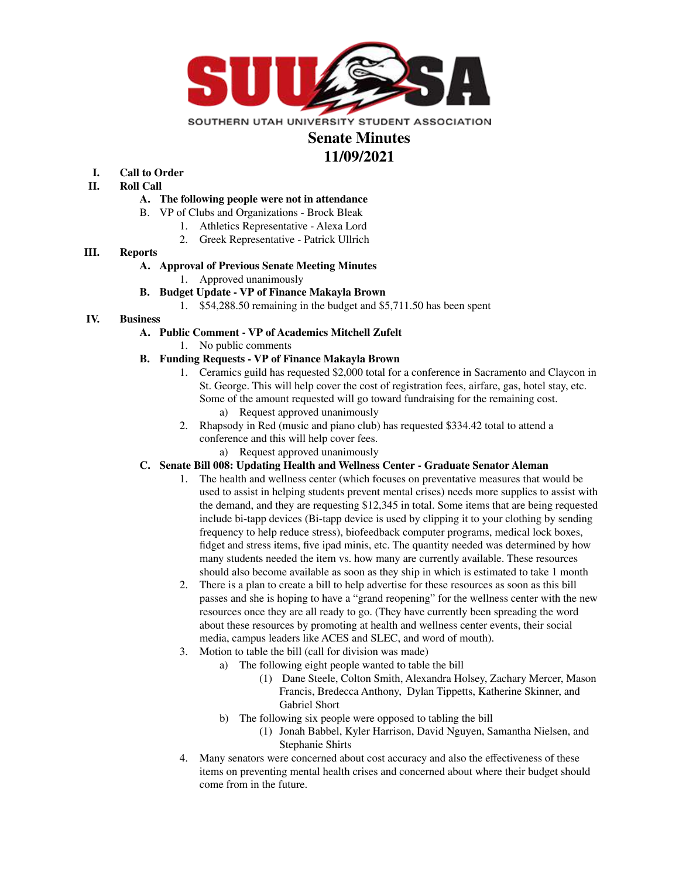

## **Senate Minutes 11/09/2021**

# **I. Call to Order**

- **II. Roll Call**
	- **A. The following people were not in attendance**
	- B. VP of Clubs and Organizations Brock Bleak
		- 1. Athletics Representative Alexa Lord
		- 2. Greek Representative Patrick Ullrich

#### **III. Reports**

#### **A. Approval of Previous Senate Meeting Minutes**

- 1. Approved unanimously
- **B. Budget Update - VP of Finance Makayla Brown**
	- 1. \$54,288.50 remaining in the budget and \$5,711.50 has been spent

#### **IV. Business**

- **A. Public Comment - VP of Academics Mitchell Zufelt**
	- 1. No public comments

### **B. Funding Requests - VP of Finance Makayla Brown**

- 1. Ceramics guild has requested \$2,000 total for a conference in Sacramento and Claycon in St. George. This will help cover the cost of registration fees, airfare, gas, hotel stay, etc. Some of the amount requested will go toward fundraising for the remaining cost.
	- a) Request approved unanimously
- 2. Rhapsody in Red (music and piano club) has requested \$334.42 total to attend a conference and this will help cover fees.
	- a) Request approved unanimously

#### **C. Senate Bill 008: Updating Health and Wellness Center - Graduate Senator Aleman**

- 1. The health and wellness center (which focuses on preventative measures that would be used to assist in helping students prevent mental crises) needs more supplies to assist with the demand, and they are requesting \$12,345 in total. Some items that are being requested include bi-tapp devices (Bi-tapp device is used by clipping it to your clothing by sending frequency to help reduce stress), biofeedback computer programs, medical lock boxes, fidget and stress items, five ipad minis, etc. The quantity needed was determined by how many students needed the item vs. how many are currently available. These resources should also become available as soon as they ship in which is estimated to take 1 month
- 2. There is a plan to create a bill to help advertise for these resources as soon as this bill passes and she is hoping to have a "grand reopening" for the wellness center with the new resources once they are all ready to go. (They have currently been spreading the word about these resources by promoting at health and wellness center events, their social media, campus leaders like ACES and SLEC, and word of mouth).
- 3. Motion to table the bill (call for division was made)
	- a) The following eight people wanted to table the bill
		- (1) Dane Steele, Colton Smith, Alexandra Holsey, Zachary Mercer, Mason Francis, Bredecca Anthony, Dylan Tippetts, Katherine Skinner, and Gabriel Short
	- b) The following six people were opposed to tabling the bill
		- (1) Jonah Babbel, Kyler Harrison, David Nguyen, Samantha Nielsen, and Stephanie Shirts
- 4. Many senators were concerned about cost accuracy and also the effectiveness of these items on preventing mental health crises and concerned about where their budget should come from in the future.